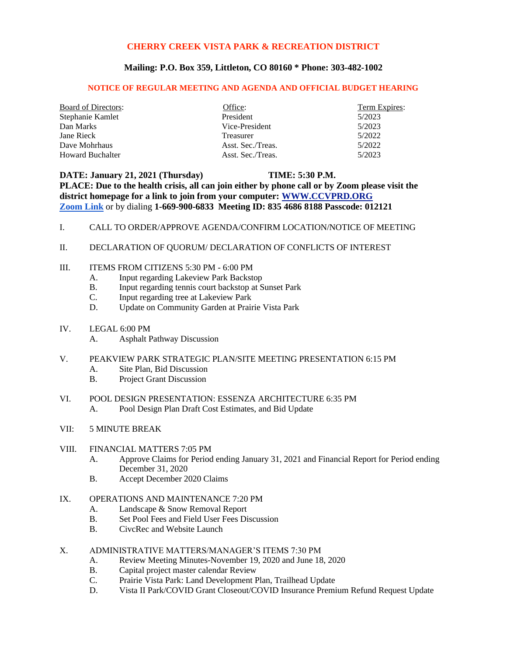## **CHERRY CREEK VISTA PARK & RECREATION DISTRICT**

## **Mailing: P.O. Box 359, Littleton, CO 80160 \* Phone: 303-482-1002**

### **NOTICE OF REGULAR MEETING AND AGENDA AND OFFICIAL BUDGET HEARING**

| <b>Board of Directors:</b> | Office:           | Term Expires: |
|----------------------------|-------------------|---------------|
| Stephanie Kamlet           | President         | 5/2023        |
| Dan Marks                  | Vice-President    | 5/2023        |
| Jane Rieck                 | Treasurer         | 5/2022        |
| Dave Mohrhaus              | Asst. Sec./Treas. | 5/2022        |
| <b>Howard Buchalter</b>    | Asst. Sec./Treas. | 5/2023        |

**DATE: January 21, 2021 (Thursday) TIME: 5:30 P.M. PLACE: Due to the health crisis, all can join either by phone call or by Zoom please visit the district homepage for a link to join from your computer: [WWW.CCVPRD.ORG](http://www.ccvprd.org/) [Zoom Link](https://us02web.zoom.us/j/83546868188?pwd=alByTENuU1IrZndlMHFNY2F4NVY4dz09)** or by dialing **1-669-900-6833 Meeting ID: 835 4686 8188 Passcode: 012121**

- I. CALL TO ORDER/APPROVE AGENDA/CONFIRM LOCATION/NOTICE OF MEETING
- II. DECLARATION OF QUORUM/ DECLARATION OF CONFLICTS OF INTEREST
- III. ITEMS FROM CITIZENS 5:30 PM 6:00 PM
	- A. Input regarding Lakeview Park Backstop
	- B. Input regarding tennis court backstop at Sunset Park
	- C. Input regarding tree at Lakeview Park
	- D. Update on Community Garden at Prairie Vista Park
- IV. LEGAL 6:00 PM
	- A. Asphalt Pathway Discussion
- V. PEAKVIEW PARK STRATEGIC PLAN/SITE MEETING PRESENTATION 6:15 PM
	- A. Site Plan, Bid Discussion
	- B. Project Grant Discussion
- VI. POOL DESIGN PRESENTATION: ESSENZA ARCHITECTURE 6:35 PM A. Pool Design Plan Draft Cost Estimates, and Bid Update
- VII: 5 MINUTE BREAK

### VIII. FINANCIAL MATTERS 7:05 PM

- A. Approve Claims for Period ending January 31, 2021 and Financial Report for Period ending December 31, 2020
- B. Accept December 2020 Claims

# IX. OPERATIONS AND MAINTENANCE 7:20 PM

- A. Landscape & Snow Removal Report
- B. Set Pool Fees and Field User Fees Discussion
- B. CivcRec and Website Launch
- X. ADMINISTRATIVE MATTERS/MANAGER'S ITEMS 7:30 PM
	- A. Review Meeting Minutes-November 19, 2020 and June 18, 2020
	- B. Capital project master calendar Review
	- C. Prairie Vista Park: Land Development Plan, Trailhead Update
	- D. Vista II Park/COVID Grant Closeout/COVID Insurance Premium Refund Request Update